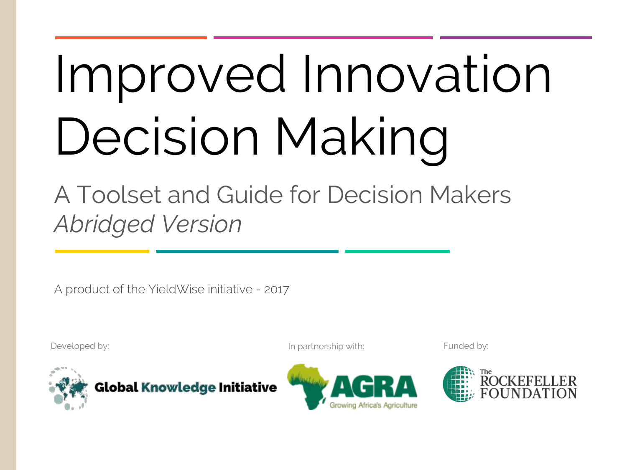# Improved Innovation Decision Making

A Toolset and Guide for Decision Makers *Abridged Version*

A product of the YieldWise initiative - 2017

Developed by: In partnership with: Funded by: In partnership with: Funded by:





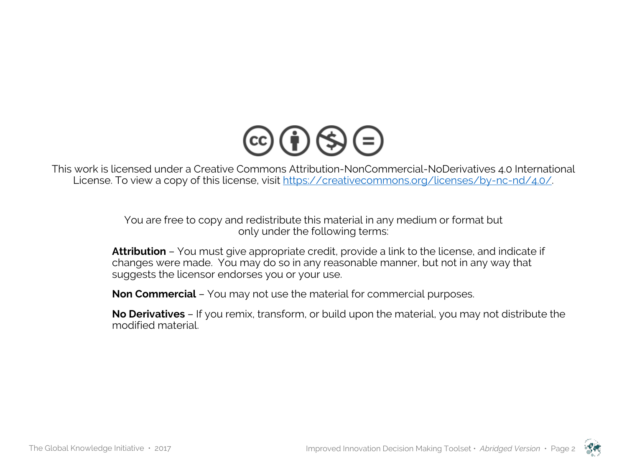

This work is licensed under a Creative Commons Attribution-NonCommercial-NoDerivatives 4.0 International License. To view a copy of this license, visit https://creativecommons.org/licenses/by-nc-nd/4.0/.

> You are free to copy and redistribute this material in any medium or format but only under the following terms:

**Attribution** – You must give appropriate credit, provide a link to the license, and indicate if changes were made. You may do so in any reasonable manner, but not in any way that suggests the licensor endorses you or your use.

**Non Commercial** – You may not use the material for commercial purposes.

**No Derivatives** – If you remix, transform, or build upon the material, you may not distribute the modified material.

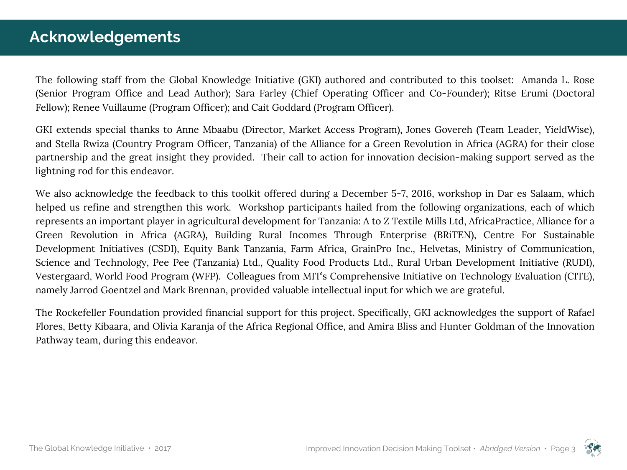## **Acknowledgements**

The following staff from the Global Knowledge Initiative (GKI) authored and contributed to this toolset: Amanda L. Rose (Senior Program Office and Lead Author); Sara Farley (Chief Operating Officer and Co-Founder); Ritse Erumi (Doctoral Fellow); Renee Vuillaume (Program Officer); and Cait Goddard (Program Officer).

GKI extends special thanks to Anne Mbaabu (Director, Market Access Program), Jones Govereh (Team Leader, YieldWise), and Stella Rwiza (Country Program Officer, Tanzania) of the Alliance for a Green Revolution in Africa (AGRA) for their close partnership and the great insight they provided. Their call to action for innovation decision-making support served as the lightning rod for this endeavor.

We also acknowledge the feedback to this toolkit offered during a December 5-7, 2016, workshop in Dar es Salaam, which helped us refine and strengthen this work. Workshop participants hailed from the following organizations, each of which represents an important player in agricultural development for Tanzania: A to Z Textile Mills Ltd, AfricaPractice, Alliance for a Green Revolution in Africa (AGRA), Building Rural Incomes Through Enterprise (BRiTEN), Centre For Sustainable Development Initiatives (CSDI), Equity Bank Tanzania, Farm Africa, GrainPro Inc., Helvetas, Ministry of Communication, Science and Technology, Pee Pee (Tanzania) Ltd., Quality Food Products Ltd., Rural Urban Development Initiative (RUDI), Vestergaard, World Food Program (WFP). Colleagues from MIT's Comprehensive Initiative on Technology Evaluation (CITE), namely Jarrod Goentzel and Mark Brennan, provided valuable intellectual input for which we are grateful.

The Rockefeller Foundation provided financial support for this project. Specifically, GKI acknowledges the support of Rafael Flores, Betty Kibaara, and Olivia Karanja of the Africa Regional Office, and Amira Bliss and Hunter Goldman of the Innovation Pathway team, during this endeavor.

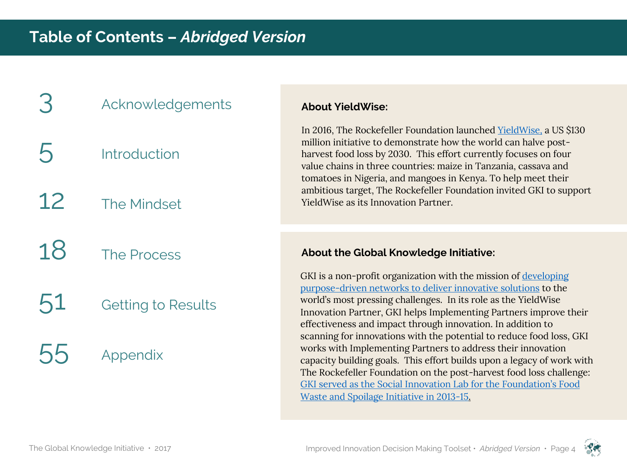# **Acknowledgements**

- **Introduction**
- 12 The Mindset
- 18 The Process
- 51 Getting to Results
- **Appendix**

#### **About YieldWise:**

In 2016, The Rockefeller Foundation launched YieldWise, a US \$130 million initiative to demonstrate how the world can halve postharvest food loss by 2030. This effort currently focuses on four value chains in three countries: maize in Tanzania, cassava and tomatoes in Nigeria, and mangoes in Kenya. To help meet their ambitious target, The Rockefeller Foundation invited GKI to support YieldWise as its Innovation Partner.

#### **About the Global Knowledge Initiative:**

GKI is a non-profit organization with the mission of developing purpose-driven networks to deliver innovative solutions to the world's most pressing challenges. In its role as the YieldWise Innovation Partner, GKI helps Implementing Partners improve their effectiveness and impact through innovation. In addition to scanning for innovations with the potential to reduce food loss, GKI works with Implementing Partners to address their innovation capacity building goals. This effort builds upon a legacy of work with The Rockefeller Foundation on the post-harvest food loss challenge: GKI served as the Social Innovation Lab for the Foundation's Food Waste and Spoilage Initiative in 2013-15.

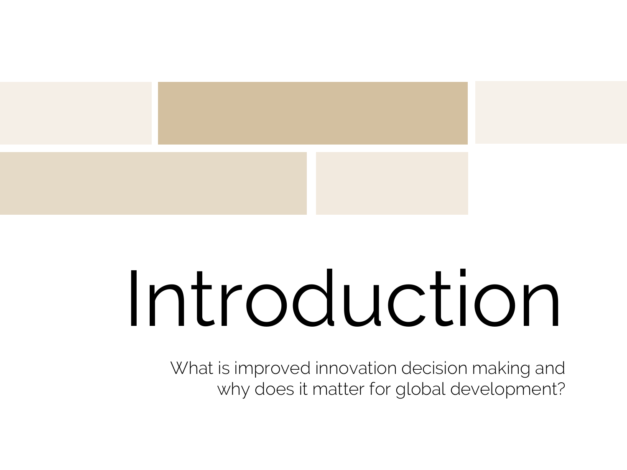

# Introduction

What is improved innovation decision making and why does it matter for global development?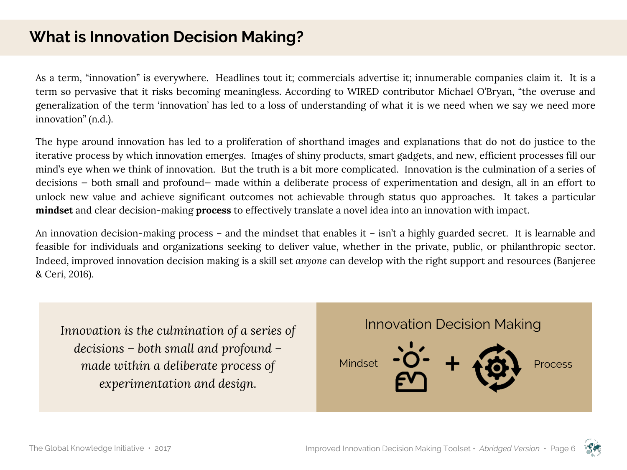# **What is Innovation Decision Making?**

As a term, "innovation" is everywhere. Headlines tout it; commercials advertise it; innumerable companies claim it. It is a term so pervasive that it risks becoming meaningless. According to WIRED contributor Michael O'Bryan, "the overuse and generalization of the term 'innovation' has led to a loss of understanding of what it is we need when we say we need more innovation" (n.d.).

The hype around innovation has led to a proliferation of shorthand images and explanations that do not do justice to the iterative process by which innovation emerges. Images of shiny products, smart gadgets, and new, efficient processes fill our mind's eye when we think of innovation. But the truth is a bit more complicated. Innovation is the culmination of a series of decisions — both small and profound— made within a deliberate process of experimentation and design, all in an effort to unlock new value and achieve significant outcomes not achievable through status quo approaches. It takes a particular **mindset** and clear decision-making **process** to effectively translate a novel idea into an innovation with impact.

An innovation decision-making process – and the mindset that enables it – isn't a highly guarded secret. It is learnable and feasible for individuals and organizations seeking to deliver value, whether in the private, public, or philanthropic sector. Indeed, improved innovation decision making is a skill set *anyone* can develop with the right support and resources (Banjeree & Ceri, 2016).

*Innovation is the culmination of a series of decisions – both small and profound – made within a deliberate process of experimentation and design.*



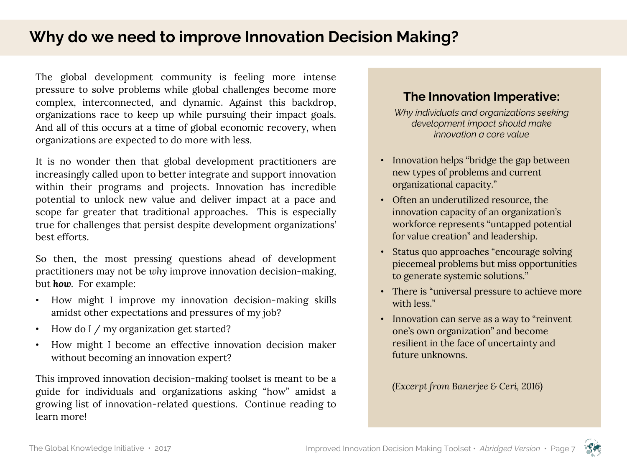# **Why do we need to improve Innovation Decision Making?**

The global development community is feeling more intense pressure to solve problems while global challenges become more complex, interconnected, and dynamic. Against this backdrop, organizations race to keep up while pursuing their impact goals. And all of this occurs at a time of global economic recovery, when organizations are expected to do more with less.

It is no wonder then that global development practitioners are increasingly called upon to better integrate and support innovation within their programs and projects. Innovation has incredible potential to unlock new value and deliver impact at a pace and scope far greater that traditional approaches. This is especially true for challenges that persist despite development organizations' best efforts.

So then, the most pressing questions ahead of development practitioners may not be *why* improve innovation decision-making, but *how.* For example:

- How might I improve my innovation decision-making skills amidst other expectations and pressures of my job?
- How do I / my organization get started?
- How might I become an effective innovation decision maker without becoming an innovation expert?

This improved innovation decision-making toolset is meant to be a guide for individuals and organizations asking "how" amidst a growing list of innovation-related questions. Continue reading to learn more!

#### **The Innovation Imperative:**

*Why individuals and organizations seeking development impact should make innovation a core value*

- Innovation helps "bridge the gap between" new types of problems and current organizational capacity."
- Often an underutilized resource, the innovation capacity of an organization's workforce represents "untapped potential for value creation" and leadership.
- Status quo approaches "encourage solving piecemeal problems but miss opportunities to generate systemic solutions."
- There is "universal pressure to achieve more with less."
- Innovation can serve as a way to "reinvent" one's own organization" and become resilient in the face of uncertainty and future unknowns.

#### *(Excerpt from Banerjee & Ceri, 2016)*

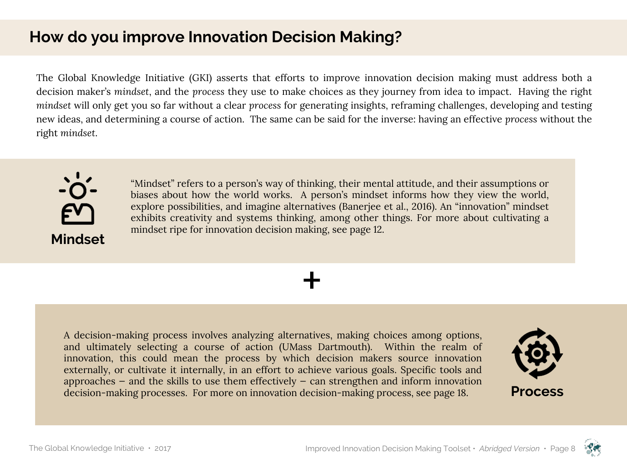# **How do you improve Innovation Decision Making?**

The Global Knowledge Initiative (GKI) asserts that efforts to improve innovation decision making must address both a decision maker's *mindset*, and the *process* they use to make choices as they journey from idea to impact. Having the right *mindset* will only get you so far without a clear *process* for generating insights, reframing challenges, developing and testing new ideas, and determining a course of action. The same can be said for the inverse: having an effective *process* without the right *mindset*.

+



"Mindset" refers to a person's way of thinking, their mental attitude, and their assumptions or biases about how the world works. A person's mindset informs how they view the world, explore possibilities, and imagine alternatives (Banerjee et al., 2016). An "innovation" mindset exhibits creativity and systems thinking, among other things. For more about cultivating a mindset ripe for innovation decision making, see page 12.

A decision-making process involves analyzing alternatives, making choices among options, and ultimately selecting a course of action (UMass Dartmouth). Within the realm of innovation, this could mean the process by which decision makers source innovation externally, or cultivate it internally, in an effort to achieve various goals. Specific tools and approaches  $-$  and the skills to use them effectively  $-$  can strengthen and inform innovation decision-making processes. For more on innovation decision-making process, see page 18.



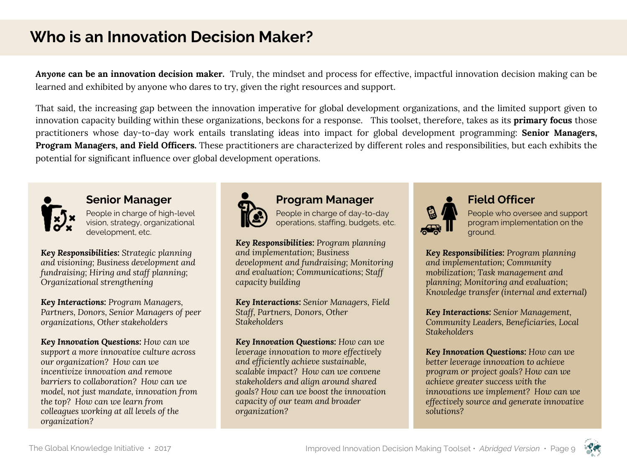# **Who is an Innovation Decision Maker?**

*Anyone* **can be an innovation decision maker.** Truly, the mindset and process for effective, impactful innovation decision making can be learned and exhibited by anyone who dares to try, given the right resources and support.

That said, the increasing gap between the innovation imperative for global development organizations, and the limited support given to innovation capacity building within these organizations, beckons for a response. This toolset, therefore, takes as its **primary focus** those practitioners whose day-to-day work entails translating ideas into impact for global development programming: **Senior Managers, Program Managers, and Field Officers.** These practitioners are characterized by different roles and responsibilities, but each exhibits the potential for significant influence over global development operations.



#### **Senior Manager**

People in charge of high-level vision, strategy, organizational development, etc.

*Key Responsibilities: Strategic planning and visioning; Business development and fundraising; Hiring and staff planning; Organizational strengthening*

*Key Interactions: Program Managers, Partners, Donors, Senior Managers of peer organizations, Other stakeholders* 

*Key Innovation Questions: How can we support a more innovative culture across our organization? How can we incentivize innovation and remove barriers to collaboration? How can we model, not just mandate, innovation from the top? How can we learn from colleagues working at all levels of the organization?*



#### **Program Manager**

People in charge of day-to-day operations, staffing, budgets, etc.

*Key Responsibilities: Program planning and implementation; Business development and fundraising; Monitoring and evaluation; Communications; Staff capacity building*

*Key Interactions: Senior Managers, Field Staff, Partners, Donors, Other Stakeholders* 

*Key Innovation Questions: How can we leverage innovation to more effectively and efficiently achieve sustainable, scalable impact? How can we convene stakeholders and align around shared goals? How can we boost the innovation capacity of our team and broader organization?*



#### **Field Officer**

People who oversee and support program implementation on the ground.

*Key Responsibilities: Program planning and implementation; Community mobilization; Task management and planning; Monitoring and evaluation; Knowledge transfer (internal and external)*

*Key Interactions: Senior Management, Community Leaders, Beneficiaries, Local Stakeholders*

*Key Innovation Questions: How can we better leverage innovation to achieve program or project goals? How can we achieve greater success with the innovations we implement? How can we effectively source and generate innovative solutions?* 

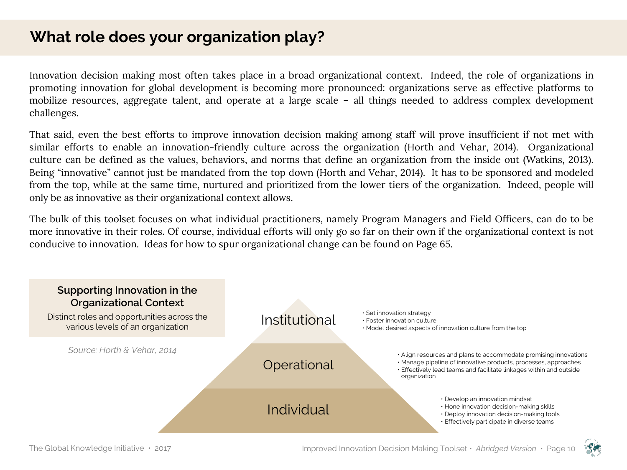# **What role does your organization play?**

Innovation decision making most often takes place in a broad organizational context. Indeed, the role of organizations in promoting innovation for global development is becoming more pronounced: organizations serve as effective platforms to mobilize resources, aggregate talent, and operate at a large scale – all things needed to address complex development challenges.

That said, even the best efforts to improve innovation decision making among staff will prove insufficient if not met with similar efforts to enable an innovation-friendly culture across the organization (Horth and Vehar, 2014). Organizational culture can be defined as the values, behaviors, and norms that define an organization from the inside out (Watkins, 2013). Being "innovative" cannot just be mandated from the top down (Horth and Vehar, 2014). It has to be sponsored and modeled from the top, while at the same time, nurtured and prioritized from the lower tiers of the organization. Indeed, people will only be as innovative as their organizational context allows.

The bulk of this toolset focuses on what individual practitioners, namely Program Managers and Field Officers, can do to be more innovative in their roles. Of course, individual efforts will only go so far on their own if the organizational context is not conducive to innovation. Ideas for how to spur organizational change can be found on Page 65.



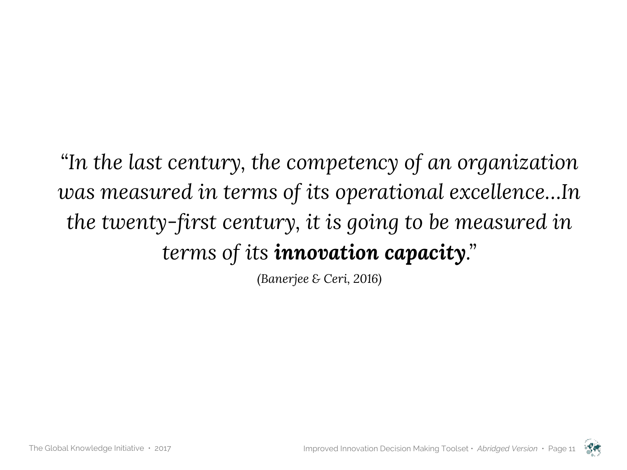*"In the last century, the competency of an organization was measured in terms of its operational excellence…In the twenty-first century, it is going to be measured in terms of its innovation capacity."* 

*(Banerjee & Ceri, 2016)*

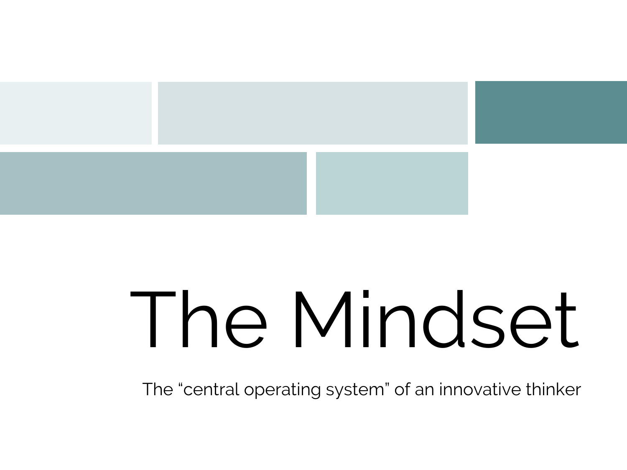

# The Mindset

The "central operating system" of an innovative thinker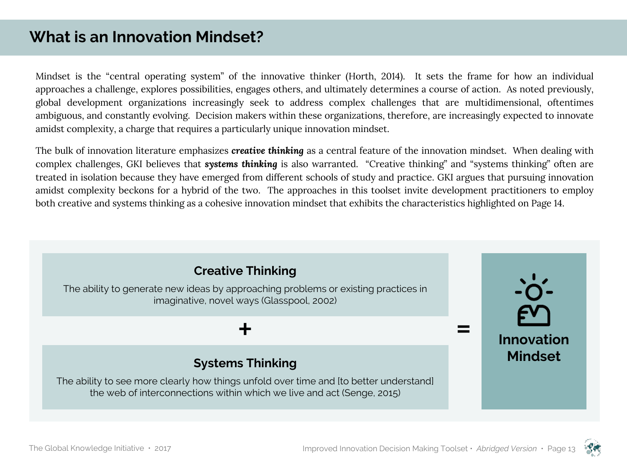# **What is an Innovation Mindset?**

Mindset is the "central operating system" of the innovative thinker (Horth, 2014). It sets the frame for how an individual approaches a challenge, explores possibilities, engages others, and ultimately determines a course of action. As noted previously, global development organizations increasingly seek to address complex challenges that are multidimensional, oftentimes ambiguous, and constantly evolving. Decision makers within these organizations, therefore, are increasingly expected to innovate amidst complexity, a charge that requires a particularly unique innovation mindset.

The bulk of innovation literature emphasizes *creative thinking* as a central feature of the innovation mindset. When dealing with complex challenges, GKI believes that *systems thinking* is also warranted. "Creative thinking" and "systems thinking" often are treated in isolation because they have emerged from different schools of study and practice. GKI argues that pursuing innovation amidst complexity beckons for a hybrid of the two. The approaches in this toolset invite development practitioners to employ both creative and systems thinking as a cohesive innovation mindset that exhibits the characteristics highlighted on Page 14.



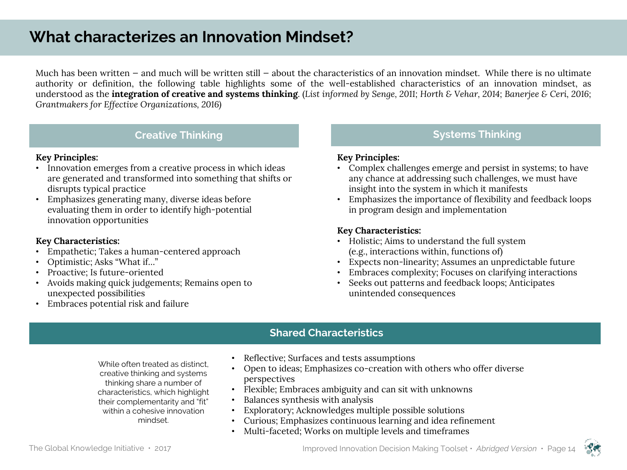# **What characterizes an Innovation Mindset?**

Much has been written – and much will be written still – about the characteristics of an innovation mindset. While there is no ultimate authority or definition, the following table highlights some of the well-established characteristics of an innovation mindset, as understood as the integration of creative and systems thinking. (List informed by Senge, 2011; Horth & Vehar, 2014; Banerjee & Ceri, 2016; *Grantmakers for Effective Organizations, 2016)*

#### **Creative Thinking <b>Systems** Thinking **Systems** Thinking

#### **Key Principles:**

- Innovation emerges from a creative process in which ideas are generated and transformed into something that shifts or disrupts typical practice
- Emphasizes generating many, diverse ideas before evaluating them in order to identify high-potential innovation opportunities

#### **Key Characteristics:**

- Empathetic; Takes a human-centered approach
- Optimistic; Asks "What if…"
- Proactive; Is future-oriented
- Avoids making quick judgements; Remains open to unexpected possibilities
- Embraces potential risk and failure

#### **Key Principles:**

- Complex challenges emerge and persist in systems; to have any chance at addressing such challenges, we must have insight into the system in which it manifests
- Emphasizes the importance of flexibility and feedback loops in program design and implementation

#### **Key Characteristics:**

- Holistic; Aims to understand the full system (e.g., interactions within, functions of)
- Expects non-linearity; Assumes an unpredictable future
- Embraces complexity; Focuses on clarifying interactions
- Seeks out patterns and feedback loops; Anticipates unintended consequences

#### **Shared Characteristics**

While often treated as distinct, creative thinking and systems thinking share a number of characteristics, which highlight their complementarity and "fit" within a cohesive innovation mindset.

- Reflective; Surfaces and tests assumptions
- Open to ideas; Emphasizes co-creation with others who offer diverse perspectives
- Flexible; Embraces ambiguity and can sit with unknowns
- Balances synthesis with analysis
- Exploratory; Acknowledges multiple possible solutions
- Curious; Emphasizes continuous learning and idea refinement
- Multi-faceted; Works on multiple levels and timeframes

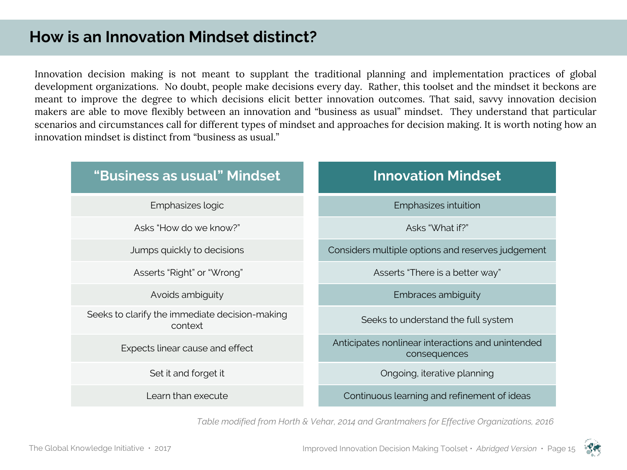# **How is an Innovation Mindset distinct?**

Innovation decision making is not meant to supplant the traditional planning and implementation practices of global development organizations. No doubt, people make decisions every day. Rather, this toolset and the mindset it beckons are meant to improve the degree to which decisions elicit better innovation outcomes. That said, savvy innovation decision makers are able to move flexibly between an innovation and "business as usual" mindset. They understand that particular scenarios and circumstances call for different types of mindset and approaches for decision making. It is worth noting how an innovation mindset is distinct from "business as usual."

| "Business as usual" Mindset                               | <b>Innovation Mindset</b>                                         |
|-----------------------------------------------------------|-------------------------------------------------------------------|
| Emphasizes logic                                          | Emphasizes intuition                                              |
| Asks "How do we know?"                                    | Asks "What if?"                                                   |
| Jumps quickly to decisions                                | Considers multiple options and reserves judgement                 |
| Asserts "Right" or "Wrong"                                | Asserts "There is a better way"                                   |
| Avoids ambiguity                                          | Embraces ambiguity                                                |
| Seeks to clarify the immediate decision-making<br>context | Seeks to understand the full system                               |
| Expects linear cause and effect                           | Anticipates nonlinear interactions and unintended<br>consequences |
| Set it and forget it                                      | Ongoing, iterative planning                                       |
| Learn than execute                                        | Continuous learning and refinement of ideas                       |

*Table modified from Horth & Vehar, 2014 and Grantmakers for Effective Organizations, 2016*

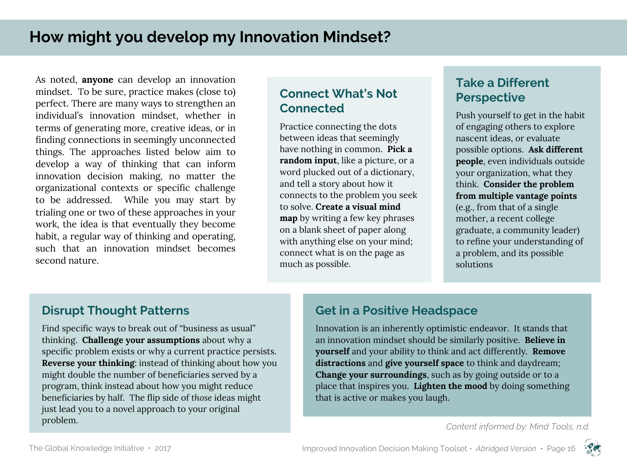As noted, **anyone** can develop an innovation mindset. To be sure, practice makes (close to) perfect. There are many ways to strengthen an individual's innovation mindset, whether in terms of generating more, creative ideas, or in finding connections in seemingly unconnected things. The approaches listed below aim to develop a way of thinking that can inform innovation decision making, no matter the organizational contexts or specific challenge to be addressed. While you may start by trialing one or two of these approaches in your work, the idea is that eventually they become habit, a regular way of thinking and operating, such that an innovation mindset becomes second nature.

#### **Connect What's Not Connected**

Practice connecting the dots between ideas that seemingly have nothing in common. **Pick a random input**, like a picture, or a word plucked out of a dictionary, and tell a story about how it connects to the problem you seek to solve. **Create a visual mind map** by writing a few key phrases on a blank sheet of paper along with anything else on your mind; connect what is on the page as much as possible.

#### **Take a Different Perspective**

Push yourself to get in the habit of engaging others to explore nascent ideas, or evaluate possible options. **Ask different people**, even individuals outside your organization, what they think. **Consider the problem from multiple vantage points**  (e.g., from that of a single mother, a recent college graduate, a community leader) to refine your understanding of a problem, and its possible solutions

#### **Disrupt Thought Patterns**

Find specific ways to break out of "business as usual" thinking. **Challenge your assumptions** about why a specific problem exists or why a current practice persists. **Reverse your thinking**: instead of thinking about how you might double the number of beneficiaries served by a program, think instead about how you might reduce beneficiaries by half. The flip side of *those* ideas might just lead you to a novel approach to your original problem.

### **Get in a Positive Headspace**

Innovation is an inherently optimistic endeavor. It stands that an innovation mindset should be similarly positive. **Believe in yourself** and your ability to think and act differently. **Remove distractions** and **give yourself space** to think and daydream; **Change your surroundings**, such as by going outside or to a place that inspires you. **Lighten the mood** by doing something that is active or makes you laugh.

*Content informed by: Mind Tools, n.d.*

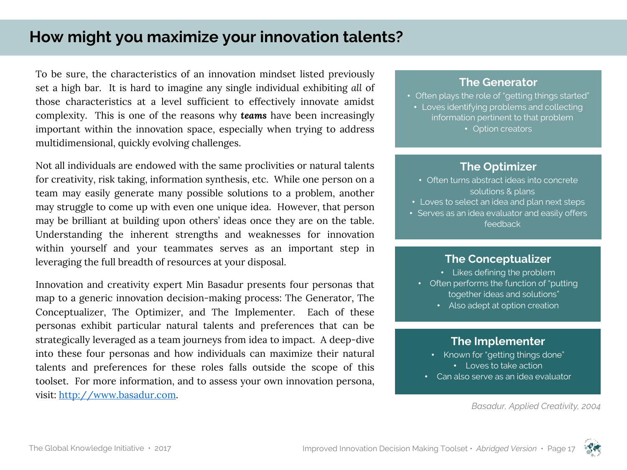# **How might you maximize your innovation talents?**

To be sure, the characteristics of an innovation mindset listed previously set a high bar. It is hard to imagine any single individual exhibiting *all* of those characteristics at a level sufficient to effectively innovate amidst complexity. This is one of the reasons why *teams* have been increasingly important within the innovation space, especially when trying to address multidimensional, quickly evolving challenges.

Not all individuals are endowed with the same proclivities or natural talents for creativity, risk taking, information synthesis, etc. While one person on a team may easily generate many possible solutions to a problem, another may struggle to come up with even one unique idea. However, that person may be brilliant at building upon others' ideas once they are on the table. Understanding the inherent strengths and weaknesses for innovation within yourself and your teammates serves as an important step in leveraging the full breadth of resources at your disposal.

Innovation and creativity expert Min Basadur presents four personas that map to a generic innovation decision-making process: The Generator, The Conceptualizer, The Optimizer, and The Implementer. Each of these personas exhibit particular natural talents and preferences that can be strategically leveraged as a team journeys from idea to impact. A deep-dive into these four personas and how individuals can maximize their natural talents and preferences for these roles falls outside the scope of this toolset. For more information, and to assess your own innovation persona, visit: http://www.basadur.com.

#### **The Generator**

• Often plays the role of "getting things started" • Loves identifying problems and collecting information pertinent to that problem

• Option creators

#### **The Optimizer**

- Often turns abstract ideas into concrete solutions & plans
- Loves to select an idea and plan next steps
- Serves as an idea evaluator and easily offers feedback

#### **The Conceptualizer**

- Likes defining the problem
- Often performs the function of "putting together ideas and solutions"
	- Also adept at option creation

#### **The Implementer**

- Known for "getting things done"
	- Loves to take action
- Can also serve as an idea evaluator

*Basadur, Applied Creativity, 2004*

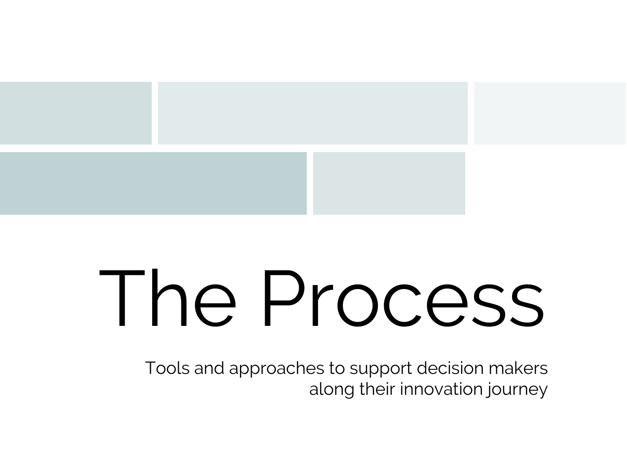

# The Process

Tools and approaches to support decision makers along their innovation journey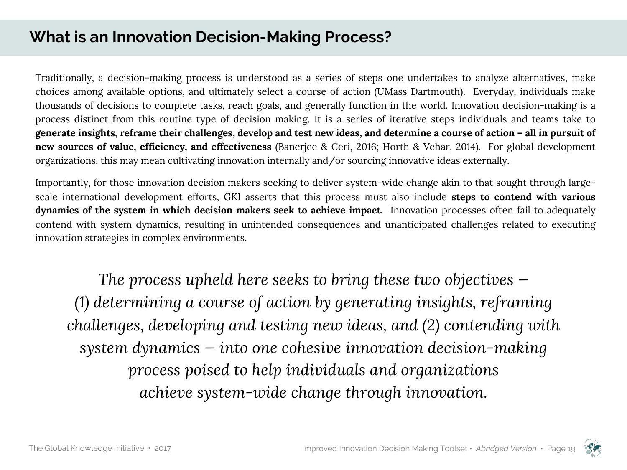# **What is an Innovation Decision-Making Process?**

Traditionally, a decision-making process is understood as a series of steps one undertakes to analyze alternatives, make choices among available options, and ultimately select a course of action (UMass Dartmouth). Everyday, individuals make thousands of decisions to complete tasks, reach goals, and generally function in the world. Innovation decision-making is a process distinct from this routine type of decision making. It is a series of iterative steps individuals and teams take to generate insights, reframe their challenges, develop and test new ideas, and determine a course of action - all in pursuit of **new sources of value, efficiency, and effectiveness** (Banerjee & Ceri, 2016; Horth & Vehar, 2014)**.** For global development organizations, this may mean cultivating innovation internally and/or sourcing innovative ideas externally.

Importantly, for those innovation decision makers seeking to deliver system-wide change akin to that sought through largescale international development efforts, GKI asserts that this process must also include **steps to contend with various dynamics of the system in which decision makers seek to achieve impact.** Innovation processes often fail to adequately contend with system dynamics, resulting in unintended consequences and unanticipated challenges related to executing innovation strategies in complex environments.

*The process upheld here seeks to bring these two objectives — (1) determining a course of action by generating insights, reframing challenges, developing and testing new ideas, and (2) contending with system dynamics — into one cohesive innovation decision-making process poised to help individuals and organizations achieve system-wide change through innovation.* 

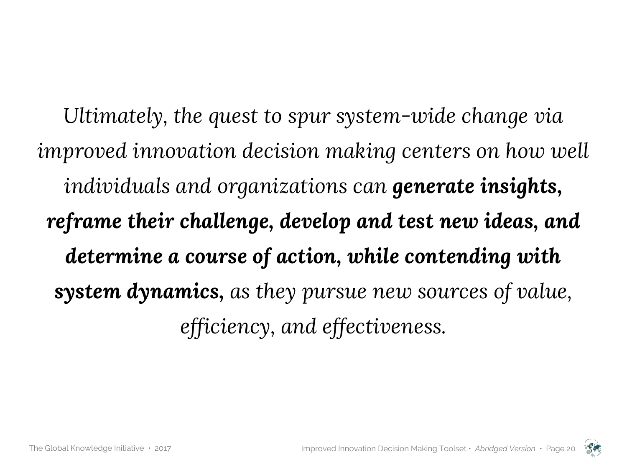*Ultimately, the quest to spur system-wide change via improved innovation decision making centers on how well individuals and organizations can generate insights, reframe their challenge, develop and test new ideas, and determine a course of action, while contending with system dynamics, as they pursue new sources of value, efficiency, and effectiveness.* 

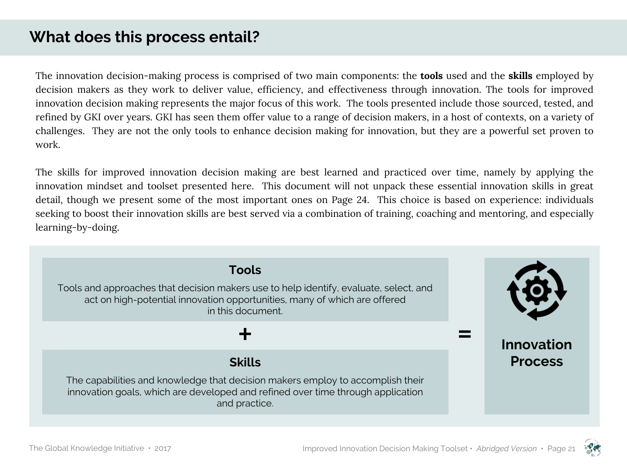# **What does this process entail?**

The innovation decision-making process is comprised of two main components: the **tools** used and the **skills** employed by decision makers as they work to deliver value, efficiency, and effectiveness through innovation. The tools for improved innovation decision making represents the major focus of this work. The tools presented include those sourced, tested, and refined by GKI over years. GKI has seen them offer value to a range of decision makers, in a host of contexts, on a variety of challenges. They are not the only tools to enhance decision making for innovation, but they are a powerful set proven to work.

The skills for improved innovation decision making are best learned and practiced over time, namely by applying the innovation mindset and toolset presented here. This document will not unpack these essential innovation skills in great detail, though we present some of the most important ones on Page 24. This choice is based on experience: individuals seeking to boost their innovation skills are best served via a combination of training, coaching and mentoring, and especially learning-by-doing.

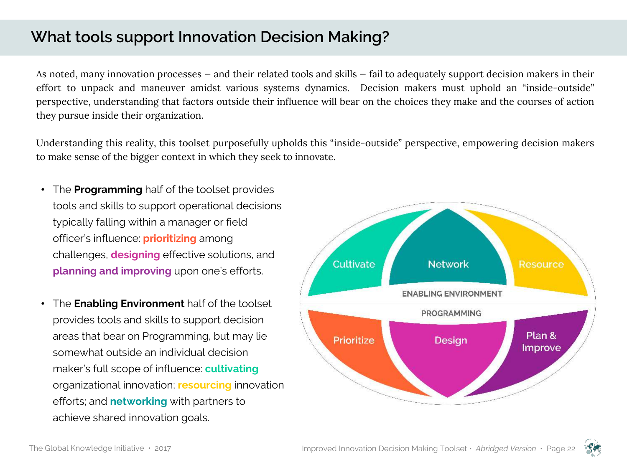# **What tools support Innovation Decision Making?**

As noted, many innovation processes — and their related tools and skills — fail to adequately support decision makers in their effort to unpack and maneuver amidst various systems dynamics. Decision makers must uphold an "inside-outside" perspective, understanding that factors outside their influence will bear on the choices they make and the courses of action they pursue inside their organization.

Understanding this reality, this toolset purposefully upholds this "inside-outside" perspective, empowering decision makers to make sense of the bigger context in which they seek to innovate.

- The **Programming** half of the toolset provides tools and skills to support operational decisions typically falling within a manager or field officer's influence: **prioritizing** among challenges, **designing** effective solutions, and **planning and improving** upon one's efforts.
- The **Enabling Environment** half of the toolset provides tools and skills to support decision areas that bear on Programming, but may lie somewhat outside an individual decision maker's full scope of influence: **cultivating** organizational innovation; **resourcing** innovation efforts; and **networking** with partners to achieve shared innovation goals.



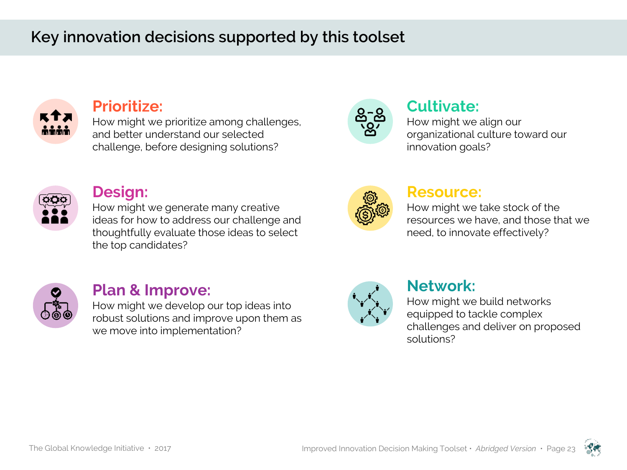# **Key innovation decisions supported by this toolset**



## **Prioritize:**

How might we prioritize among challenges, and better understand our selected challenge, before designing solutions?



# **Cultivate:**

How might we align our organizational culture toward our innovation goals?



### **Design:**

How might we generate many creative ideas for how to address our challenge and thoughtfully evaluate those ideas to select the top candidates?



#### **Resource:**

How might we take stock of the resources we have, and those that we need, to innovate effectively?



## **Plan & Improve:**

How might we develop our top ideas into robust solutions and improve upon them as we move into implementation?



## **Network:**

How might we build networks equipped to tackle complex challenges and deliver on proposed solutions?

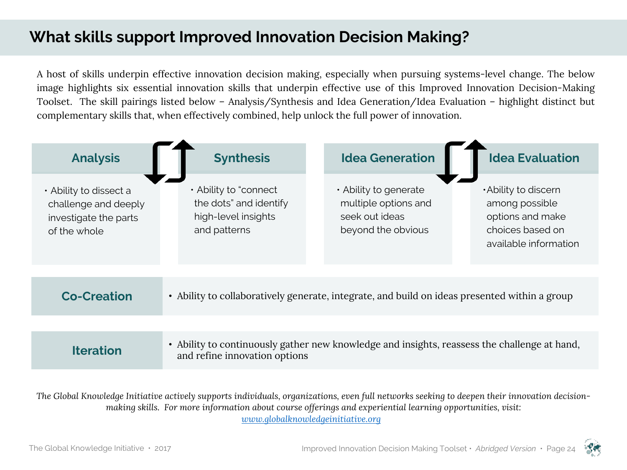# **What skills support Improved Innovation Decision Making?**

A host of skills underpin effective innovation decision making, especially when pursuing systems-level change. The below image highlights six essential innovation skills that underpin effective use of this Improved Innovation Decision-Making Toolset. The skill pairings listed below – Analysis/Synthesis and Idea Generation/Idea Evaluation – highlight distinct but complementary skills that, when effectively combined, help unlock the full power of innovation.



*The Global Knowledge Initiative actively supports individuals, organizations, even full networks seeking to deepen their innovation decisionmaking skills. For more information about course offerings and experiential learning opportunities, visit: www.globalknowledgeinitiative.org*

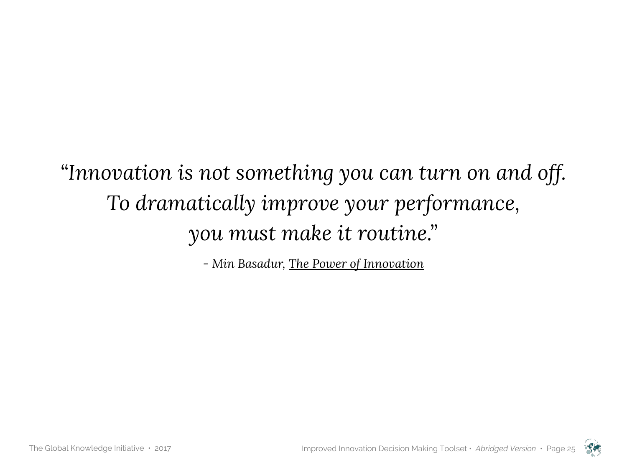*"Innovation is not something you can turn on and off. To dramatically improve your performance, you must make it routine."*

*- Min Basadur, The Power of Innovation*

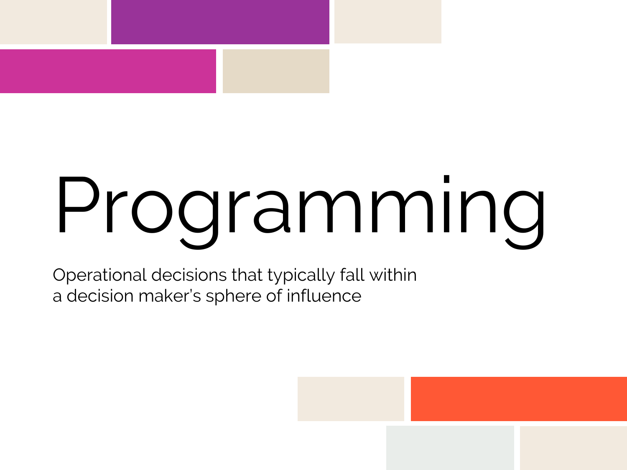# Programming

Operational decisions that typically fall within a decision maker's sphere of influence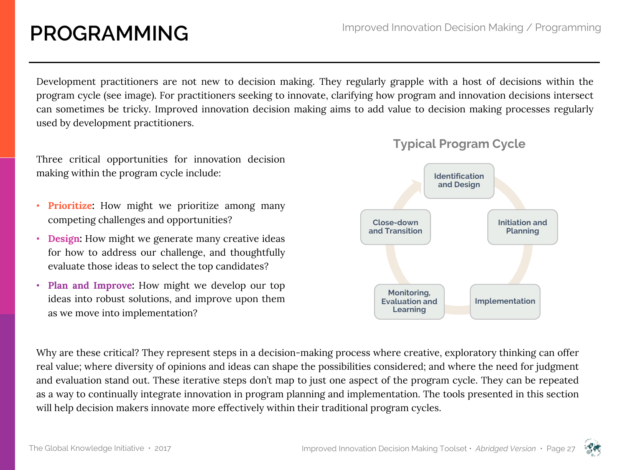# **PROGRAMMING**

Development practitioners are not new to decision making. They regularly grapple with a host of decisions within the program cycle (see image). For practitioners seeking to innovate, clarifying how program and innovation decisions intersect can sometimes be tricky. Improved innovation decision making aims to add value to decision making processes regularly used by development practitioners.

Three critical opportunities for innovation decision making within the program cycle include:

- **Prioritize:** How might we prioritize among many competing challenges and opportunities?
- **Design:** How might we generate many creative ideas for how to address our challenge, and thoughtfully evaluate those ideas to select the top candidates?
- **Plan and Improve:** How might we develop our top ideas into robust solutions, and improve upon them as we move into implementation?



Why are these critical? They represent steps in a decision-making process where creative, exploratory thinking can offer real value; where diversity of opinions and ideas can shape the possibilities considered; and where the need for judgment and evaluation stand out. These iterative steps don't map to just one aspect of the program cycle. They can be repeated as a way to continually integrate innovation in program planning and implementation. The tools presented in this section will help decision makers innovate more effectively within their traditional program cycles.

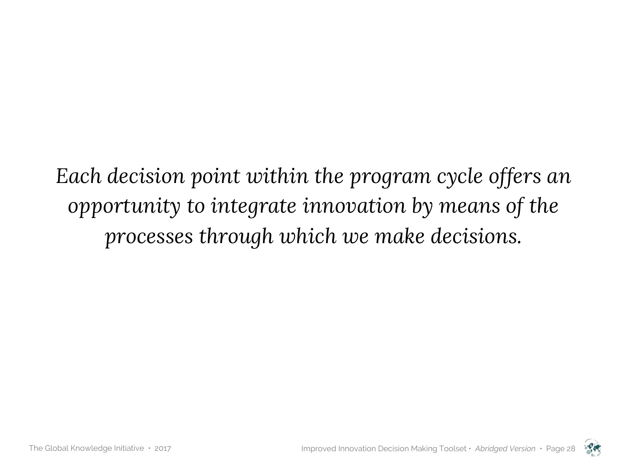*Each decision point within the program cycle offers an opportunity to integrate innovation by means of the processes through which we make decisions.*

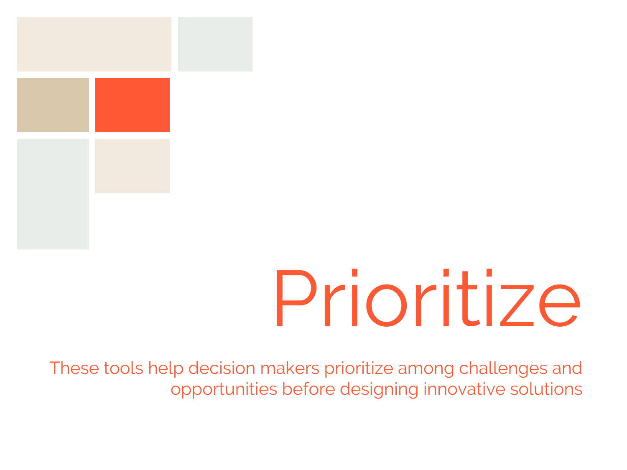

# Prioritize

These tools help decision makers prioritize among challenges and opportunities before designing innovative solutions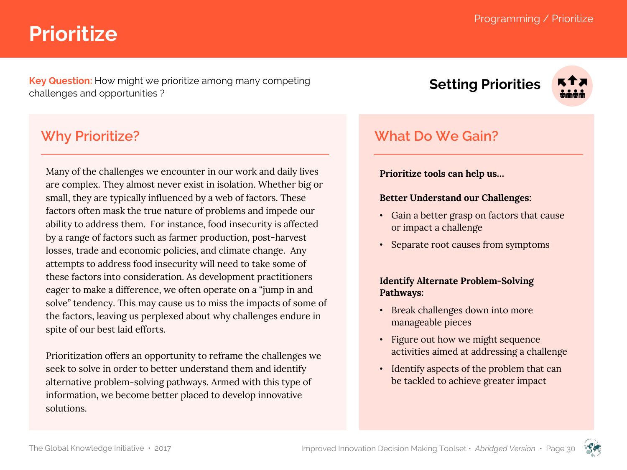# **Prioritize**

**Key Question:** How might we prioritize among many competing challenges and opportunities ?

**Why Prioritize?**

Many of the challenges we encounter in our work and daily lives are complex. They almost never exist in isolation. Whether big or small, they are typically influenced by a web of factors. These factors often mask the true nature of problems and impede our ability to address them. For instance, food insecurity is affected by a range of factors such as farmer production, post-harvest losses, trade and economic policies, and climate change. Any attempts to address food insecurity will need to take some of these factors into consideration. As development practitioners eager to make a difference, we often operate on a "jump in and solve" tendency. This may cause us to miss the impacts of some of the factors, leaving us perplexed about why challenges endure in spite of our best laid efforts.

Prioritization offers an opportunity to reframe the challenges we seek to solve in order to better understand them and identify alternative problem-solving pathways. Armed with this type of information, we become better placed to develop innovative solutions.

**Setting Priorities**



## **What Do We Gain?**

#### **Prioritize tools can help us…**

#### **Better Understand our Challenges:**

- Gain a better grasp on factors that cause or impact a challenge
- Separate root causes from symptoms

#### **Identify Alternate Problem-Solving Pathways:**

- Break challenges down into more manageable pieces
- Figure out how we might sequence activities aimed at addressing a challenge
- Identify aspects of the problem that can be tackled to achieve greater impact

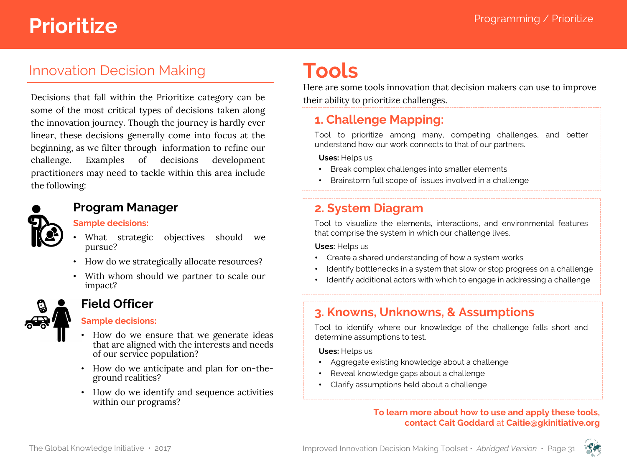# **Prioritize Programming / Prioritize**

## Innovation Decision Making

Decisions that fall within the Prioritize category can be some of the most critical types of decisions taken along the innovation journey. Though the journey is hardly ever linear, these decisions generally come into focus at the beginning, as we filter through information to refine our challenge. Examples of decisions development practitioners may need to tackle within this area include the following:



#### **Program Manager**

#### **Sample decisions:**

- What strategic objectives should we pursue?
- How do we strategically allocate resources?
- With whom should we partner to scale our impact?



### **Field Officer**

#### **Sample decisions:**

- How do we ensure that we generate ideas that are aligned with the interests and needs of our service population?
- How do we anticipate and plan for on-theground realities?
- How do we identify and sequence activities within our programs?

# **Tools**

Here are some tools innovation that decision makers can use to improve their ability to prioritize challenges.

## **1. Challenge Mapping:**

Tool to prioritize among many, competing challenges, and better understand how our work connects to that of our partners.

**Uses:** Helps us

- Break complex challenges into smaller elements
- Brainstorm full scope of issues involved in a challenge

## **2. System Diagram**

Tool to visualize the elements, interactions, and environmental features that comprise the system in which our challenge lives.

**Uses:** Helps us

- Create a shared understanding of how a system works
- Identify bottlenecks in a system that slow or stop progress on a challenge
- Identify additional actors with which to engage in addressing a challenge

## **3. Knowns, Unknowns, & Assumptions**

Tool to identify where our knowledge of the challenge falls short and determine assumptions to test.

**Uses:** Helps us

- Aggregate existing knowledge about a challenge
- Reveal knowledge gaps about a challenge
- Clarify assumptions held about a challenge

#### **To learn more about how to use and apply these tools, contact Cait Goddard** at **Caitie@gkinitiative.org**

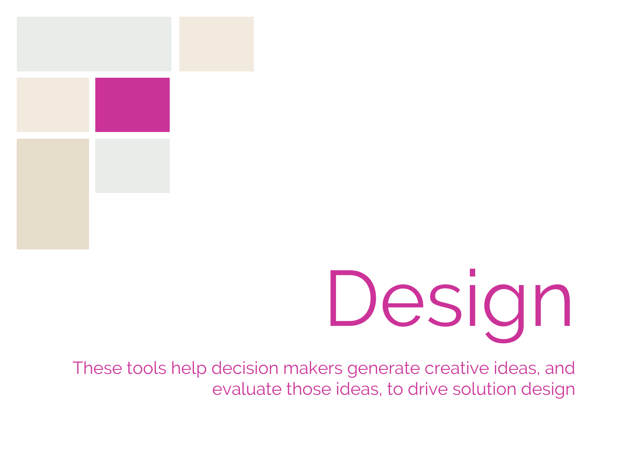

# Design

These tools help decision makers generate creative ideas, and evaluate those ideas, to drive solution design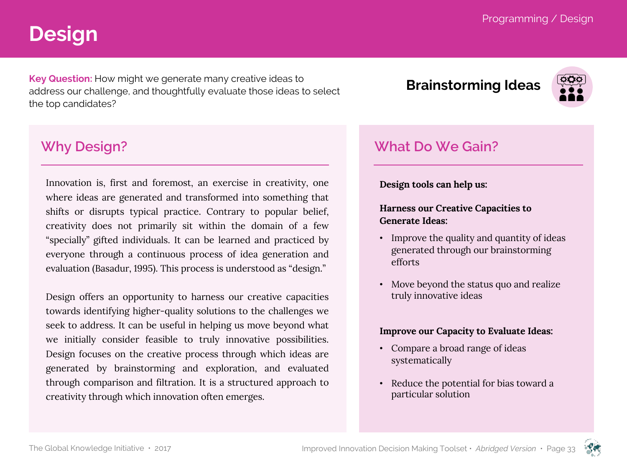# **Design**

**Key Question:** How might we generate many creative ideas to address our challenge, and thoughtfully evaluate those ideas to select the top candidates?

# **Brainstorming Ideas**



## **Why Design?**

Innovation is, first and foremost, an exercise in creativity, one where ideas are generated and transformed into something that shifts or disrupts typical practice. Contrary to popular belief, creativity does not primarily sit within the domain of a few "specially" gifted individuals. It can be learned and practiced by everyone through a continuous process of idea generation and evaluation (Basadur, 1995). This process is understood as "design."

Design offers an opportunity to harness our creative capacities towards identifying higher-quality solutions to the challenges we seek to address. It can be useful in helping us move beyond what we initially consider feasible to truly innovative possibilities. Design focuses on the creative process through which ideas are generated by brainstorming and exploration, and evaluated through comparison and filtration. It is a structured approach to creativity through which innovation often emerges.

# **What Do We Gain?**

**Design tools can help us:**

#### **Harness our Creative Capacities to Generate Ideas:**

- Improve the quality and quantity of ideas generated through our brainstorming efforts
- Move beyond the status quo and realize truly innovative ideas

#### **Improve our Capacity to Evaluate Ideas:**

- Compare a broad range of ideas systematically
- Reduce the potential for bias toward a particular solution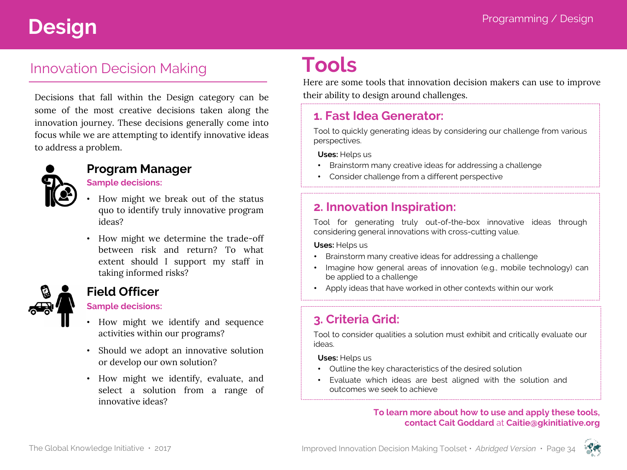# Programming / Design **Design**

# Innovation Decision Making

Decisions that fall within the Design category can be some of the most creative decisions taken along the innovation journey. These decisions generally come into focus while we are attempting to identify innovative ideas to address a problem.



#### **Program Manager**

#### **Sample decisions:**

- How might we break out of the status quo to identify truly innovative program ideas?
- How might we determine the trade-off between risk and return? To what extent should I support my staff in taking informed risks?



## **Field Officer**

#### **Sample decisions:**

- How might we identify and sequence activities within our programs?
- Should we adopt an innovative solution or develop our own solution?
- How might we identify, evaluate, and select a solution from a range of innovative ideas?

# **Tools**

Here are some tools that innovation decision makers can use to improve their ability to design around challenges.

#### **1. Fast Idea Generator:**

Tool to quickly generating ideas by considering our challenge from various perspectives.

**Uses:** Helps us

- Brainstorm many creative ideas for addressing a challenge
- Consider challenge from a different perspective

### **2. Innovation Inspiration:**

Tool for generating truly out-of-the-box innovative ideas through considering general innovations with cross-cutting value.

**Uses:** Helps us

- Brainstorm many creative ideas for addressing a challenge
- Imagine how general areas of innovation (e.g., mobile technology) can be applied to a challenge
- Apply ideas that have worked in other contexts within our work

## **3. Criteria Grid:**

Tool to consider qualities a solution must exhibit and critically evaluate our ideas.

**Uses:** Helps us

- Outline the key characteristics of the desired solution
- Evaluate which ideas are best aligned with the solution and outcomes we seek to achieve

#### **To learn more about how to use and apply these tools, contact Cait Goddard** at **Caitie@gkinitiative.org**

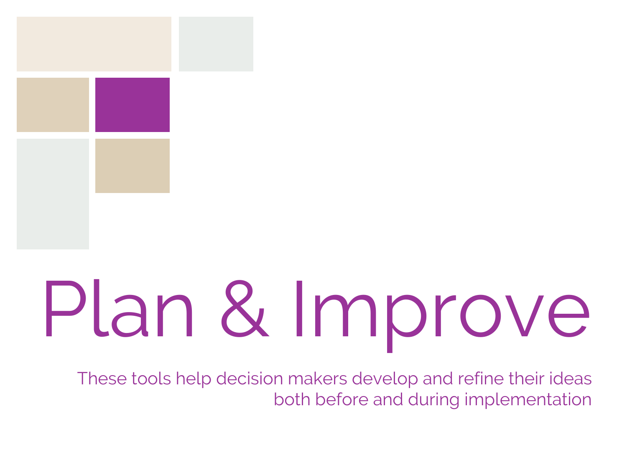

# Plan & Improve

These tools help decision makers develop and refine their ideas both before and during implementation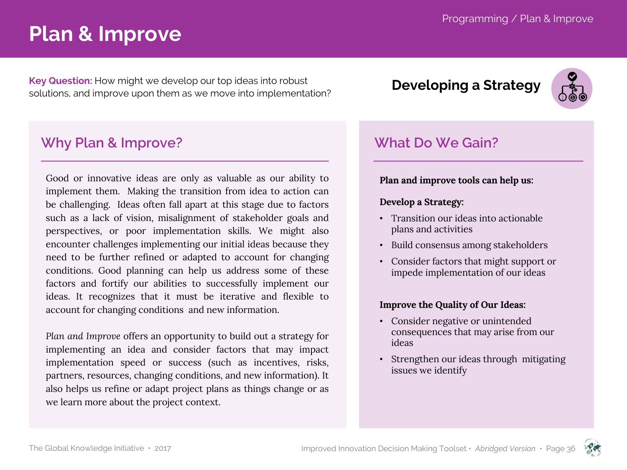# **Plan & Improve**

**Key Question:** How might we develop our top ideas into robust solutions, and improve upon them as we move into implementation? **Developing a Strategy**

## **Why Plan & Improve?**

Good or innovative ideas are only as valuable as our ability to implement them. Making the transition from idea to action can be challenging. Ideas often fall apart at this stage due to factors such as a lack of vision, misalignment of stakeholder goals and perspectives, or poor implementation skills. We might also encounter challenges implementing our initial ideas because they need to be further refined or adapted to account for changing conditions. Good planning can help us address some of these factors and fortify our abilities to successfully implement our ideas. It recognizes that it must be iterative and flexible to account for changing conditions and new information.

*Plan and Improve* offers an opportunity to build out a strategy for implementing an idea and consider factors that may impact implementation speed or success (such as incentives, risks, partners, resources, changing conditions, and new information). It also helps us refine or adapt project plans as things change or as we learn more about the project context.



## **What Do We Gain?**

#### **Plan and improve tools can help us:**

#### **Develop a Strategy:**

- Transition our ideas into actionable plans and activities
- Build consensus among stakeholders
- Consider factors that might support or impede implementation of our ideas

#### **Improve the Quality of Our Ideas:**

- Consider negative or unintended consequences that may arise from our ideas
- Strengthen our ideas through mitigating issues we identify

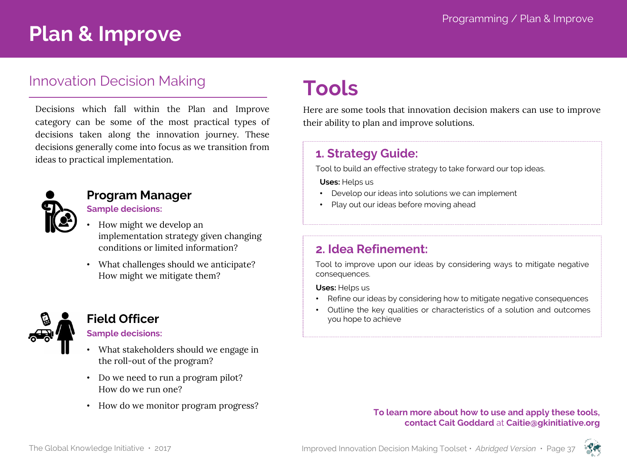# **Plan & Improve**

### Innovation Decision Making

Decisions which fall within the Plan and Improve category can be some of the most practical types of decisions taken along the innovation journey. These decisions generally come into focus as we transition from ideas to practical implementation.



#### **Program Manager**

### **Sample decisions:**

- How might we develop an implementation strategy given changing conditions or limited information?
- What challenges should we anticipate? How might we mitigate them?



### **Field Officer**

#### **Sample decisions:**

- What stakeholders should we engage in the roll-out of the program?
- Do we need to run a program pilot? How do we run one?
- How do we monitor program progress?

# **Tools**

Here are some tools that innovation decision makers can use to improve their ability to plan and improve solutions.

#### **1. Strategy Guide:**

Tool to build an effective strategy to take forward our top ideas.

**Uses:** Helps us

- Develop our ideas into solutions we can implement
- Play out our ideas before moving ahead

#### **2. Idea Refinement:**

Tool to improve upon our ideas by considering ways to mitigate negative consequences.

**Uses:** Helps us

- Refine our ideas by considering how to mitigate negative consequences
- Outline the key qualities or characteristics of a solution and outcomes you hope to achieve

#### **To learn more about how to use and apply these tools, contact Cait Goddard** at **Caitie@gkinitiative.org**

The Global Knowledge Initiative · 2017 **Improved Innovation Decision Making Toolset ·** *Abridged Version* **· Page 37** 

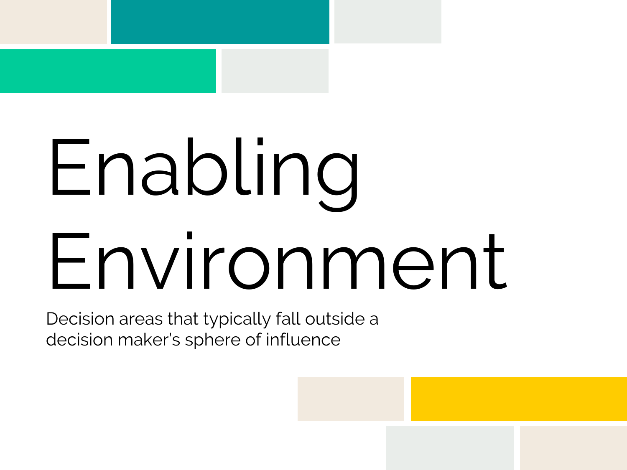# Enabling Environment

Decision areas that typically fall outside a decision maker's sphere of influence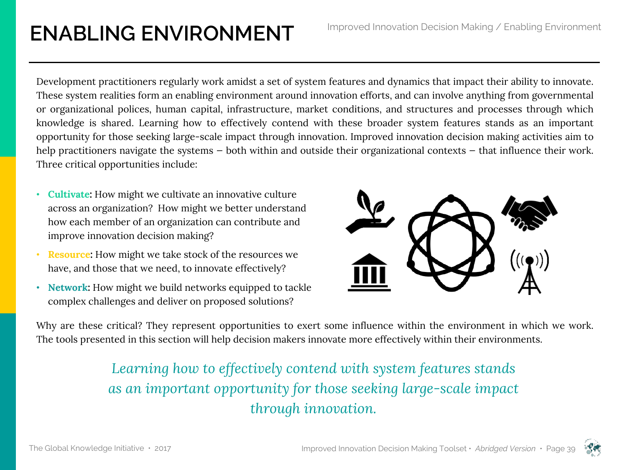# **ENABLING ENVIRONMENT** Improved Innovation Decision Making / Enabling Environment

Development practitioners regularly work amidst a set of system features and dynamics that impact their ability to innovate. These system realities form an enabling environment around innovation efforts, and can involve anything from governmental or organizational polices, human capital, infrastructure, market conditions, and structures and processes through which knowledge is shared. Learning how to effectively contend with these broader system features stands as an important opportunity for those seeking large-scale impact through innovation. Improved innovation decision making activities aim to help practitioners navigate the systems – both within and outside their organizational contexts – that influence their work. Three critical opportunities include:

- **Cultivate:** How might we cultivate an innovative culture across an organization? How might we better understand how each member of an organization can contribute and improve innovation decision making?
- **Resource:** How might we take stock of the resources we have, and those that we need, to innovate effectively?
- **Network:** How might we build networks equipped to tackle complex challenges and deliver on proposed solutions?



Why are these critical? They represent opportunities to exert some influence within the environment in which we work. The tools presented in this section will help decision makers innovate more effectively within their environments.

# *Learning how to effectively contend with system features stands as an important opportunity for those seeking large-scale impact through innovation.*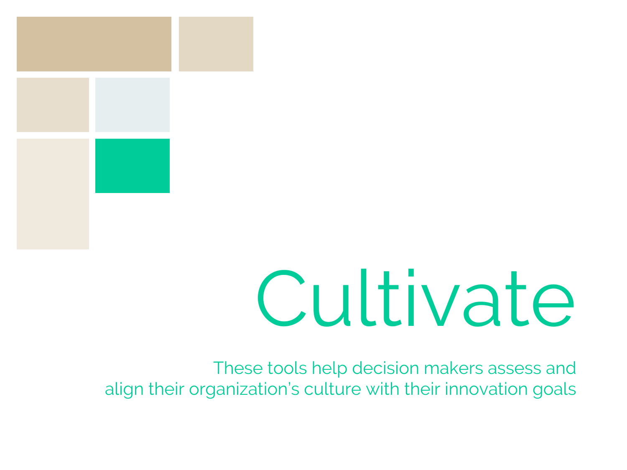

# Cultivate

These tools help decision makers assess and align their organization's culture with their innovation goals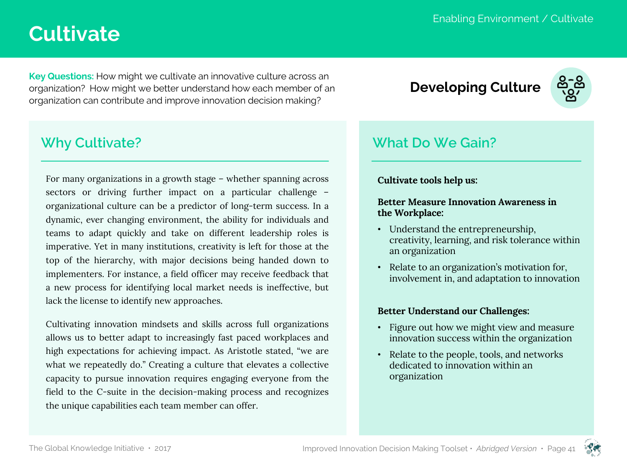# **Cultivate**

**Key Questions:** How might we cultivate an innovative culture across an organization? How might we better understand how each member of an organization can contribute and improve innovation decision making?

## **Why Cultivate?**

For many organizations in a growth stage – whether spanning across sectors or driving further impact on a particular challenge – organizational culture can be a predictor of long-term success. In a dynamic, ever changing environment, the ability for individuals and teams to adapt quickly and take on different leadership roles is imperative. Yet in many institutions, creativity is left for those at the top of the hierarchy, with major decisions being handed down to implementers. For instance, a field officer may receive feedback that a new process for identifying local market needs is ineffective, but lack the license to identify new approaches.

Cultivating innovation mindsets and skills across full organizations allows us to better adapt to increasingly fast paced workplaces and high expectations for achieving impact. As Aristotle stated, "we are what we repeatedly do." Creating a culture that elevates a collective capacity to pursue innovation requires engaging everyone from the field to the C-suite in the decision-making process and recognizes the unique capabilities each team member can offer.

# **Developing Culture**



## **What Do We Gain?**

#### **Cultivate tools help us:**

#### **Better Measure Innovation Awareness in the Workplace:**

- Understand the entrepreneurship, creativity, learning, and risk tolerance within an organization
- Relate to an organization's motivation for, involvement in, and adaptation to innovation

#### **Better Understand our Challenges:**

- Figure out how we might view and measure innovation success within the organization
- Relate to the people, tools, and networks dedicated to innovation within an organization

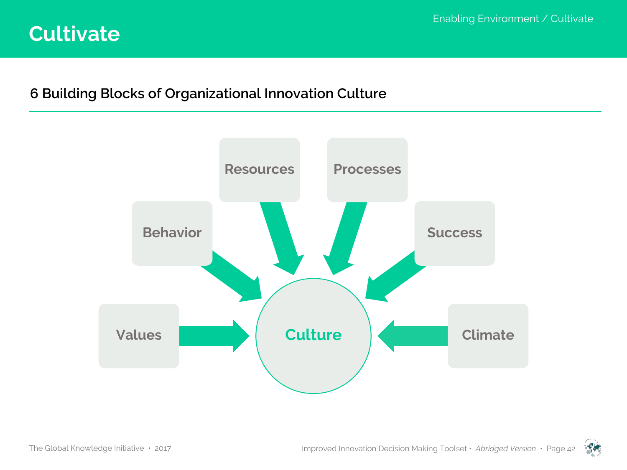# **Cultivate**

## **6 Building Blocks of Organizational Innovation Culture**



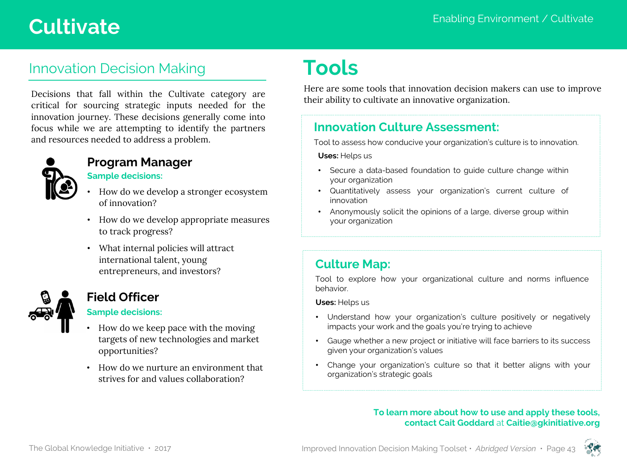# Enabling Environment / Cultivate **Cultivate**

# Innovation Decision Making

Decisions that fall within the Cultivate category are critical for sourcing strategic inputs needed for the innovation journey. These decisions generally come into focus while we are attempting to identify the partners and resources needed to address a problem.



# **Program Manager**

- **Sample decisions:**
- How do we develop a stronger ecosystem of innovation?
- How do we develop appropriate measures to track progress?
- What internal policies will attract international talent, young entrepreneurs, and investors?

#### **Field Officer**

#### **Sample decisions:**

- How do we keep pace with the moving targets of new technologies and market opportunities?
- How do we nurture an environment that strives for and values collaboration?

# **Tools**

Here are some tools that innovation decision makers can use to improve their ability to cultivate an innovative organization.

## **Innovation Culture Assessment:**

Tool to assess how conducive your organization's culture is to innovation.

#### **Uses:** Helps us

- Secure a data-based foundation to guide culture change within your organization
- Quantitatively assess your organization's current culture of innovation
- Anonymously solicit the opinions of a large, diverse group within your organization

### **Culture Map:**

Tool to explore how your organizational culture and norms influence behavior.

**Uses:** Helps us

- Understand how your organization's culture positively or negatively impacts your work and the goals you're trying to achieve
- Gauge whether a new project or initiative will face barriers to its success given your organization's values
- Change your organization's culture so that it better aligns with your organization's strategic goals

#### **To learn more about how to use and apply these tools, contact Cait Goddard** at **Caitie@gkinitiative.org**



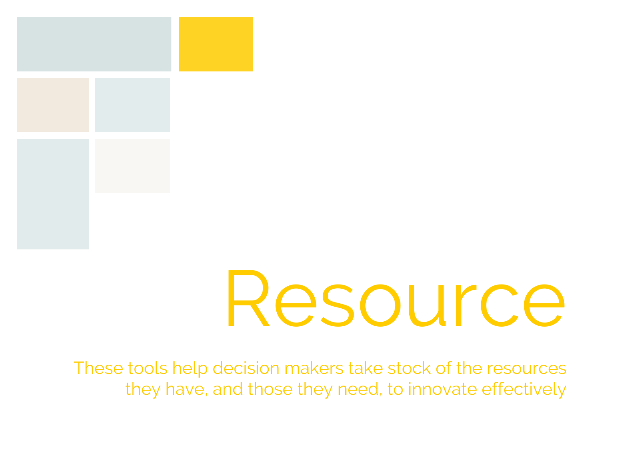

These tools help decision makers take stock of the resources they have, and those they need, to innovate effectively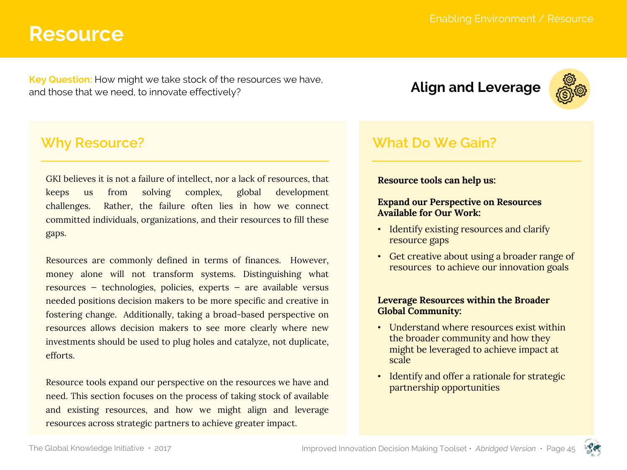**Key Question:** How might we take stock of the resources we have, and those that we need, to innovate effectively?<br>and those that we need, to innovate effectively?

### **Why Resource?**

GKI believes it is not a failure of intellect, nor a lack of resources, that keeps us from solving complex, global development challenges. Rather, the failure often lies in how we connect committed individuals, organizations, and their resources to fill these gaps.

Resources are commonly defined in terms of finances. However, money alone will not transform systems. Distinguishing what resources — technologies, policies, experts — are available versus needed positions decision makers to be more specific and creative in fostering change. Additionally, taking a broad-based perspective on resources allows decision makers to see more clearly where new investments should be used to plug holes and catalyze, not duplicate, efforts.

Resource tools expand our perspective on the resources we have and need. This section focuses on the process of taking stock of available and existing resources, and how we might align and leverage resources across strategic partners to achieve greater impact.



## **What Do We Gain?**

#### **Resource tools can help us:**

#### **Expand our Perspective on Resources Available for Our Work:**

- Identify existing resources and clarify resource gaps
- Get creative about using a broader range of resources to achieve our innovation goals

#### **Leverage Resources within the Broader Global Community:**

- Understand where resources exist within the broader community and how they might be leveraged to achieve impact at scale
- Identify and offer a rationale for strategic partnership opportunities

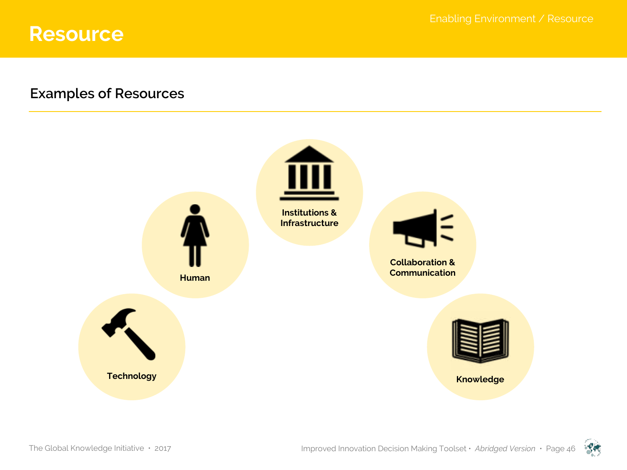## **Examples of Resources**



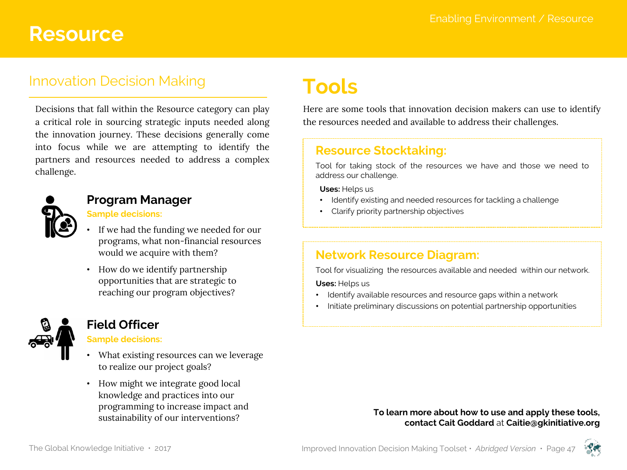## Innovation Decision Making

Decisions that fall within the Resource category can play a critical role in sourcing strategic inputs needed along the innovation journey. These decisions generally come into focus while we are attempting to identify the partners and resources needed to address a complex challenge.



#### **Program Manager**

#### **Sample decisions:**

- If we had the funding we needed for our programs, what non-financial resources would we acquire with them?
- How do we identify partnership opportunities that are strategic to reaching our program objectives?



#### **Field Officer**

#### **Sample decisions:**

- What existing resources can we leverage to realize our project goals?
- How might we integrate good local knowledge and practices into our programming to increase impact and sustainability of our interventions?

# **Tools**

Here are some tools that innovation decision makers can use to identify the resources needed and available to address their challenges.

#### **Resource Stocktaking:**

Tool for taking stock of the resources we have and those we need to address our challenge.

**Uses:** Helps us

- Identify existing and needed resources for tackling a challenge
- Clarify priority partnership objectives

#### **Network Resource Diagram:**

Tool for visualizing the resources available and needed within our network.

**Uses:** Helps us

- Identify available resources and resource gaps within a network
- Initiate preliminary discussions on potential partnership opportunities

#### **To learn more about how to use and apply these tools, contact Cait Goddard** at **Caitie@gkinitiative.org**



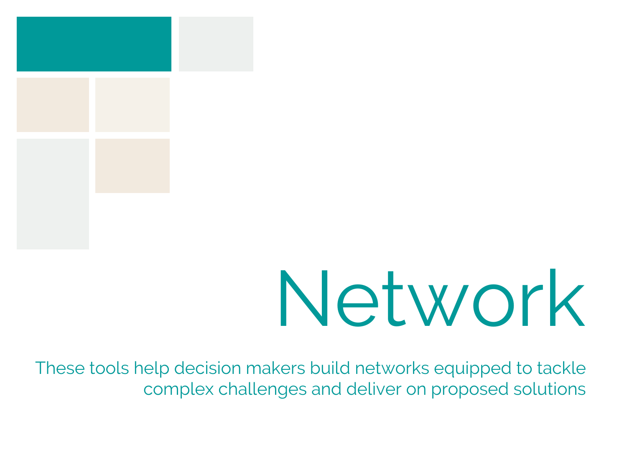

# Network

These tools help decision makers build networks equipped to tackle complex challenges and deliver on proposed solutions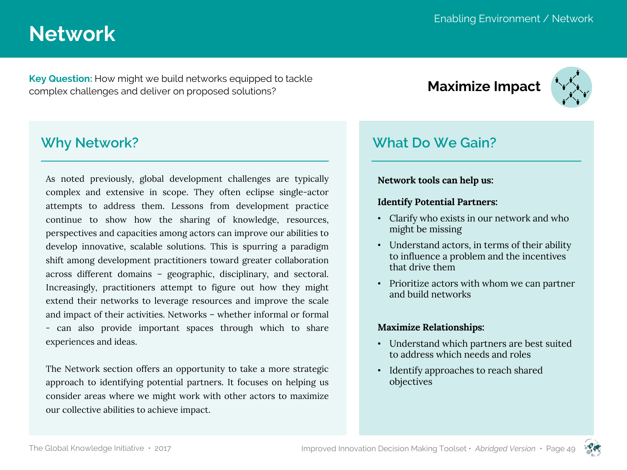# **Network**

**Key Question:** How might we build networks equipped to tackle **key Question:** How might we build networks equipped to tackle<br>complex challenges and deliver on proposed solutions?



## **Why Network?**

As noted previously, global development challenges are typically complex and extensive in scope. They often eclipse single-actor attempts to address them. Lessons from development practice continue to show how the sharing of knowledge, resources, perspectives and capacities among actors can improve our abilities to develop innovative, scalable solutions. This is spurring a paradigm shift among development practitioners toward greater collaboration across different domains – geographic, disciplinary, and sectoral. Increasingly, practitioners attempt to figure out how they might extend their networks to leverage resources and improve the scale and impact of their activities. Networks – whether informal or formal - can also provide important spaces through which to share experiences and ideas.

The Network section offers an opportunity to take a more strategic approach to identifying potential partners. It focuses on helping us consider areas where we might work with other actors to maximize our collective abilities to achieve impact.

## **What Do We Gain?**

#### **Network tools can help us:**

#### **Identify Potential Partners:**

- Clarify who exists in our network and who might be missing
- Understand actors, in terms of their ability to influence a problem and the incentives that drive them
- Prioritize actors with whom we can partner and build networks

#### **Maximize Relationships:**

- Understand which partners are best suited to address which needs and roles
- Identify approaches to reach shared objectives

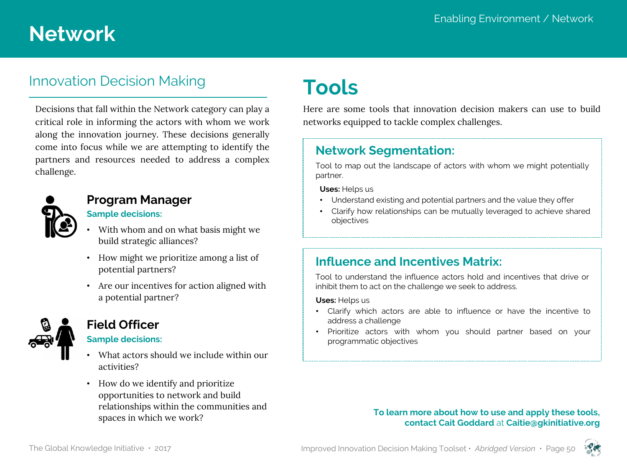# **Network**

## Innovation Decision Making

Decisions that fall within the Network category can play a critical role in informing the actors with whom we work along the innovation journey. These decisions generally come into focus while we are attempting to identify the partners and resources needed to address a complex challenge.



### **Program Manager**

#### **Sample decisions:**

- With whom and on what basis might we build strategic alliances?
- How might we prioritize among a list of potential partners?
- Are our incentives for action aligned with a potential partner?



#### **Field Officer**

#### **Sample decisions:**

- What actors should we include within our activities?
- How do we identify and prioritize opportunities to network and build relationships within the communities and spaces in which we work?

# **Tools**

Here are some tools that innovation decision makers can use to build networks equipped to tackle complex challenges.

#### **Network Segmentation:**

Tool to map out the landscape of actors with whom we might potentially partner.

**Uses:** Helps us

- Understand existing and potential partners and the value they offer
- Clarify how relationships can be mutually leveraged to achieve shared objectives

### **Influence and Incentives Matrix:**

Tool to understand the influence actors hold and incentives that drive or inhibit them to act on the challenge we seek to address.

**Uses:** Helps us

- Clarify which actors are able to influence or have the incentive to address a challenge
- Prioritize actors with whom you should partner based on your programmatic objectives

#### **To learn more about how to use and apply these tools, contact Cait Goddard** at **Caitie@gkinitiative.org**



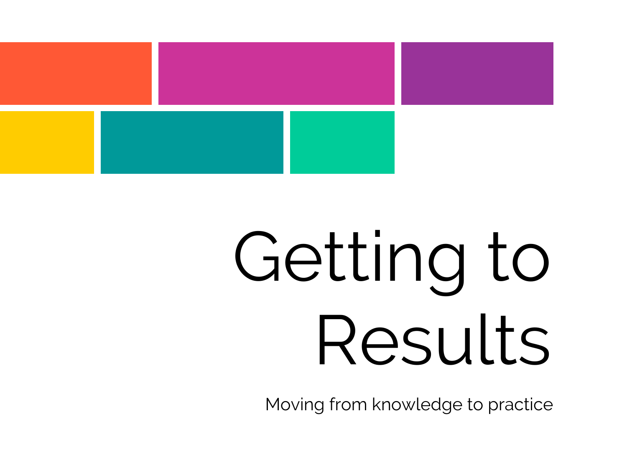

# Getting to Results

Moving from knowledge to practice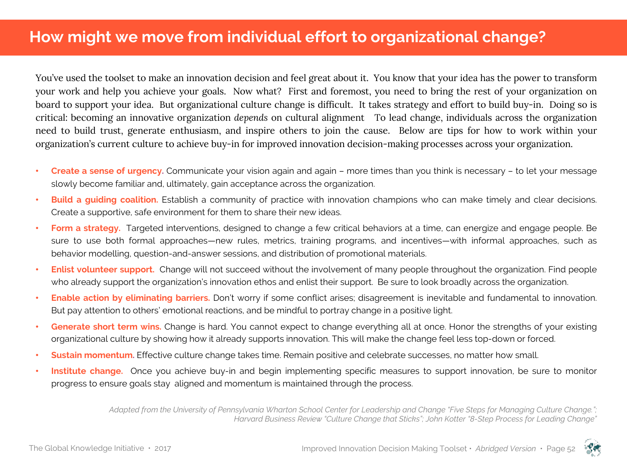You've used the toolset to make an innovation decision and feel great about it. You know that your idea has the power to transform your work and help you achieve your goals. Now what? First and foremost, you need to bring the rest of your organization on board to support your idea. But organizational culture change is difficult. It takes strategy and effort to build buy-in. Doing so is critical: becoming an innovative organization *depends* on cultural alignment To lead change, individuals across the organization need to build trust, generate enthusiasm, and inspire others to join the cause. Below are tips for how to work within your organization's current culture to achieve buy-in for improved innovation decision-making processes across your organization.

- **Create a sense of urgency.** Communicate your vision again and again more times than you think is necessary to let your message slowly become familiar and, ultimately, gain acceptance across the organization.
- **Build a guiding coalition.** Establish a community of practice with innovation champions who can make timely and clear decisions. Create a supportive, safe environment for them to share their new ideas.
- **Form a strategy.** Targeted interventions, designed to change a few critical behaviors at a time, can energize and engage people. Be sure to use both formal approaches—new rules, metrics, training programs, and incentives—with informal approaches, such as behavior modelling, question-and-answer sessions, and distribution of promotional materials.
- **Enlist volunteer support.** Change will not succeed without the involvement of many people throughout the organization. Find people who already support the organization's innovation ethos and enlist their support. Be sure to look broadly across the organization.
- **Enable action by eliminating barriers.** Don't worry if some conflict arises; disagreement is inevitable and fundamental to innovation. But pay attention to others' emotional reactions, and be mindful to portray change in a positive light.
- **Generate short term wins.** Change is hard. You cannot expect to change everything all at once. Honor the strengths of your existing organizational culture by showing how it already supports innovation. This will make the change feel less top-down or forced.
- **Sustain momentum.** Effective culture change takes time. Remain positive and celebrate successes, no matter how small.
- **Institute change.** Once you achieve buy-in and begin implementing specific measures to support innovation, be sure to monitor progress to ensure goals stay aligned and momentum is maintained through the process.

*Adapted from the University of Pennsylvania Wharton School Center for Leadership and Change "Five Steps for Managing Culture Change."; Harvard Business Review "Culture Change that Sticks"; John Kotter "8-Step Process for Leading Change"*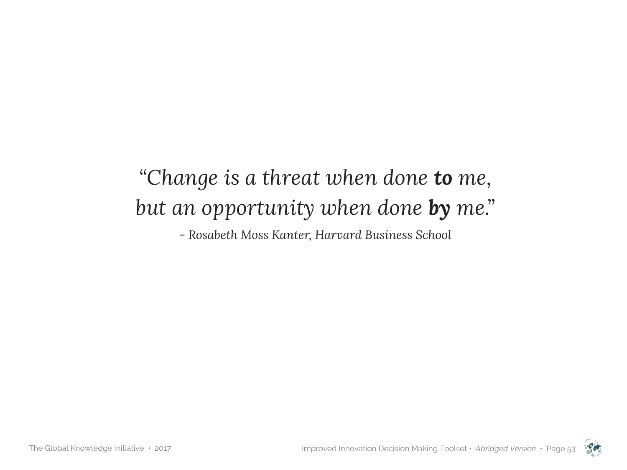# *"Change is a threat when done to me, but an opportunity when done by me."*

*- Rosabeth Moss Kanter, Harvard Business School*

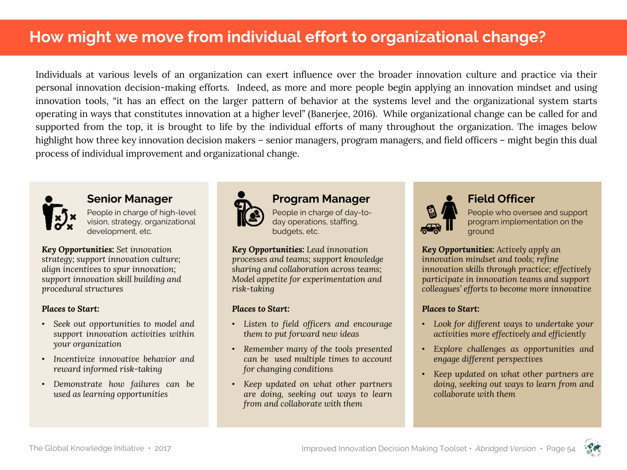# **How might we move from individual effort to organizational change?**

Individuals at various levels of an organization can exert influence over the broader innovation culture and practice via their personal innovation decision-making efforts. Indeed, as more and more people begin applying an innovation mindset and using innovation tools, "it has an effect on the larger pattern of behavior at the systems level and the organizational system starts operating in ways that constitutes innovation at a higher level" (Banerjee, 2016). While organizational change can be called for and supported from the top, it is brought to life by the individual efforts of many throughout the organization. The images below highlight how three key innovation decision makers – senior managers, program managers, and field officers – might begin this dual process of individual improvement and organizational change.



#### **Senior Manager**

People in charge of high-level vision, strategy, organizational development, etc.

*Key Opportunities: Set innovation strategy; support innovation culture; align incentives to spur innovation; support innovation skill building and procedural structures*

#### *Places to Start:*

- *Seek out opportunities to model and support innovation activities within your organization*
- *Incentivize innovative behavior and reward informed risk-taking*
- *Demonstrate how failures can be used as learning opportunities*



#### **Program Manager**

People in charge of day-today operations, staffing, budgets, etc.

*Key Opportunities: Lead innovation processes and teams; support knowledge sharing and collaboration across teams; Model appetite for experimentation and risk-taking*

#### *Places to Start:*

- *Listen to field officers and encourage them to put forward new ideas*
- *Remember many of the tools presented can be used multiple times to account for changing conditions*
- *Keep updated on what other partners are doing, seeking out ways to learn from and collaborate with them*



#### **Field Officer**

People who oversee and support program implementation on the ground

*Key Opportunities: Actively apply an innovation mindset and tools; refine innovation skills through practice; effectively participate in innovation teams and support colleagues' efforts to become more innovative*

#### *Places to Start:*

- *Look for different ways to undertake your activities more effectively and efficiently*
- *Explore challenges as opportunities and engage different perspectives*
- *Keep updated on what other partners are doing, seeking out ways to learn from and collaborate with them*



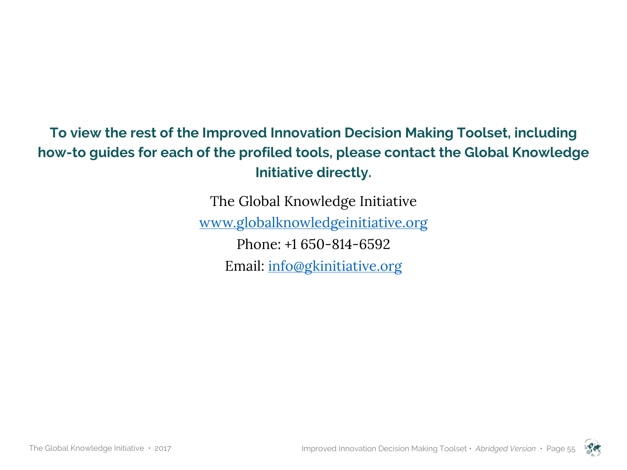# **To view the rest of the Improved Innovation Decision Making Toolset, including how-to guides for each of the profiled tools, please contact the Global Knowledge Initiative directly.**

The Global Knowledge Initiative www.globalknowledgeinitiative.org Phone: +1 650-814-6592 Email: info@gkinitiative.org

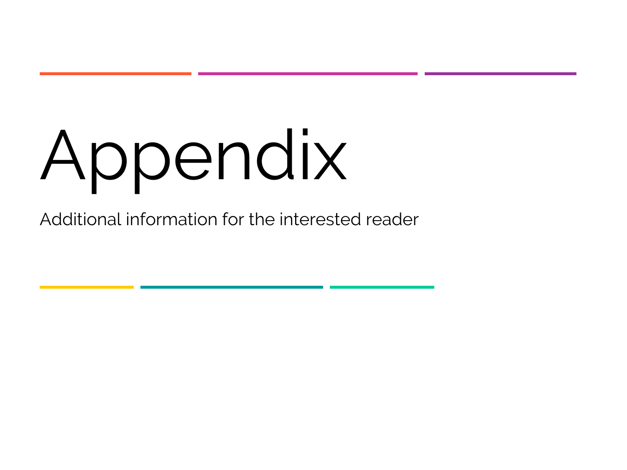# Appendix

Additional information for the interested reader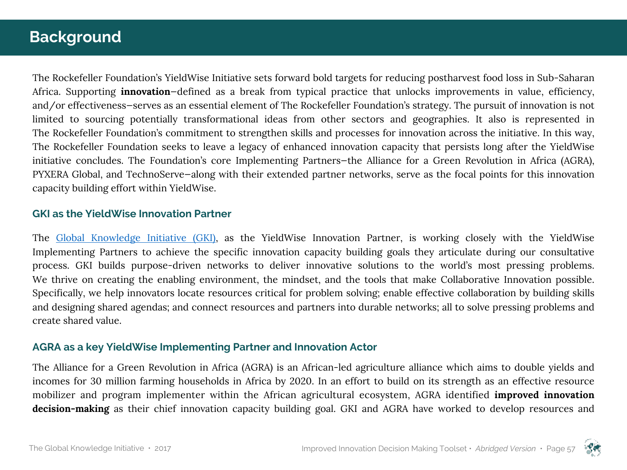# **Background**

The Rockefeller Foundation's YieldWise Initiative sets forward bold targets for reducing postharvest food loss in Sub-Saharan Africa. Supporting **innovation**—defined as a break from typical practice that unlocks improvements in value, efficiency, and/or effectiveness—serves as an essential element of The Rockefeller Foundation's strategy. The pursuit of innovation is not limited to sourcing potentially transformational ideas from other sectors and geographies. It also is represented in The Rockefeller Foundation's commitment to strengthen skills and processes for innovation across the initiative. In this way, The Rockefeller Foundation seeks to leave a legacy of enhanced innovation capacity that persists long after the YieldWise initiative concludes. The Foundation's core Implementing Partners—the Alliance for a Green Revolution in Africa (AGRA), PYXERA Global, and TechnoServe—along with their extended partner networks, serve as the focal points for this innovation capacity building effort within YieldWise.

#### **GKI as the YieldWise Innovation Partner**

The Global Knowledge Initiative (GKI), as the YieldWise Innovation Partner, is working closely with the YieldWise Implementing Partners to achieve the specific innovation capacity building goals they articulate during our consultative process. GKI builds purpose-driven networks to deliver innovative solutions to the world's most pressing problems. We thrive on creating the enabling environment, the mindset, and the tools that make Collaborative Innovation possible. Specifically, we help innovators locate resources critical for problem solving; enable effective collaboration by building skills and designing shared agendas; and connect resources and partners into durable networks; all to solve pressing problems and create shared value.

#### **AGRA as a key YieldWise Implementing Partner and Innovation Actor**

The Alliance for a Green Revolution in Africa (AGRA) is an African-led agriculture alliance which aims to double yields and incomes for 30 million farming households in Africa by 2020. In an effort to build on its strength as an effective resource mobilizer and program implementer within the African agricultural ecosystem, AGRA identified **improved innovation decision-making** as their chief innovation capacity building goal. GKI and AGRA have worked to develop resources and

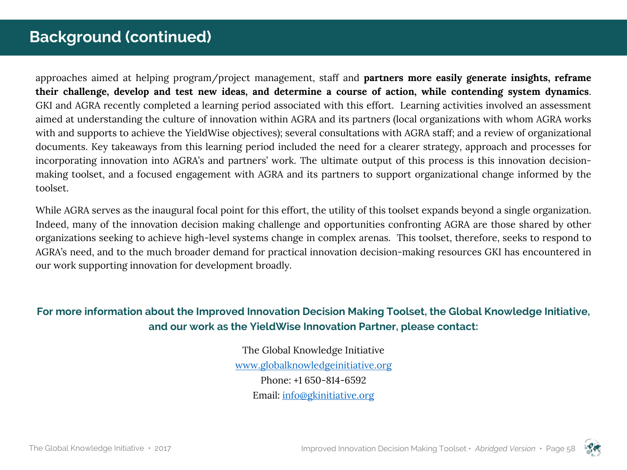# **Background (continued)**

approaches aimed at helping program/project management, staff and **partners more easily generate insights, reframe** their challenge, develop and test new ideas, and determine a course of action, while contending system dynamics. GKI and AGRA recently completed a learning period associated with this effort. Learning activities involved an assessment aimed at understanding the culture of innovation within AGRA and its partners (local organizations with whom AGRA works with and supports to achieve the YieldWise objectives); several consultations with AGRA staff; and a review of organizational documents. Key takeaways from this learning period included the need for a clearer strategy, approach and processes for incorporating innovation into AGRA's and partners' work. The ultimate output of this process is this innovation decisionmaking toolset, and a focused engagement with AGRA and its partners to support organizational change informed by the toolset.

While AGRA serves as the inaugural focal point for this effort, the utility of this toolset expands beyond a single organization. Indeed, many of the innovation decision making challenge and opportunities confronting AGRA are those shared by other organizations seeking to achieve high-level systems change in complex arenas. This toolset, therefore, seeks to respond to AGRA's need, and to the much broader demand for practical innovation decision-making resources GKI has encountered in our work supporting innovation for development broadly.

#### **For more information about the Improved Innovation Decision Making Toolset, the Global Knowledge Initiative, and our work as the YieldWise Innovation Partner, please contact:**

The Global Knowledge Initiative www.globalknowledgeinitiative.org Phone: +1 650-814-6592 Email: info@gkinitiative.org